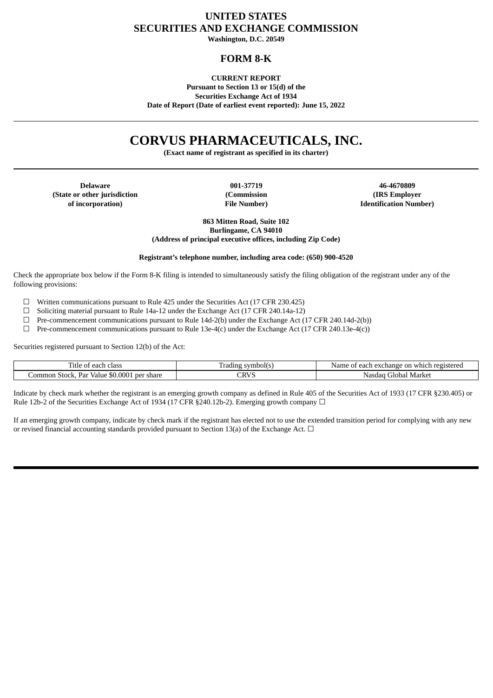# **UNITED STATES SECURITIES AND EXCHANGE COMMISSION Washington, D.C. 20549**

## **FORM 8-K**

## **CURRENT REPORT**

**Pursuant to Section 13 or 15(d) of the Securities Exchange Act of 1934 Date of Report (Date of earliest event reported): June 15, 2022**

# **CORVUS PHARMACEUTICALS, INC.**

**(Exact name of registrant as specified in its charter)**

**(State or other jurisdiction of incorporation)**

**(Commission File Number)**

**Delaware 001-37719 46-4670809 (IRS Employer Identification Number)**

> **863 Mitten Road, Suite 102 Burlingame, CA 94010 (Address of principal executive offices, including Zip Code)**

**Registrant's telephone number, including area code: (650) 900-4520**

Check the appropriate box below if the Form 8-K filing is intended to simultaneously satisfy the filing obligation of the registrant under any of the following provisions:

 $\Box$  Written communications pursuant to Rule 425 under the Securities Act (17 CFR 230.425)

- ☐ Soliciting material pursuant to Rule 14a-12 under the Exchange Act (17 CFR 240.14a-12)
- ☐ Pre-commencement communications pursuant to Rule 14d-2(b) under the Exchange Act (17 CFR 240.14d-2(b))
- ☐ Pre-commencement communications pursuant to Rule 13e-4(c) under the Exchange Act (17 CFR 240.13e-4(c))

Securities registered pursuant to Section 12(b) of the Act:

| ïtle<br>cloce<br>. each<br>Ωt<br>CIdS:                     | mboll <sup>7</sup><br><b>c</b> t <sub>7</sub> n<br>uding. | registereo<br><sup>.</sup> each exchange on<br>which<br>Namı |
|------------------------------------------------------------|-----------------------------------------------------------|--------------------------------------------------------------|
| \$0,0001<br>ommon<br>Stock.<br>per share<br>Par<br>Value . | CRVS                                                      | . Markei<br>Nasdad<br>.40<<br>' Jobal '                      |

Indicate by check mark whether the registrant is an emerging growth company as defined in Rule 405 of the Securities Act of 1933 (17 CFR §230.405) or Rule 12b-2 of the Securities Exchange Act of 1934 (17 CFR §240.12b-2). Emerging growth company  $\Box$ 

If an emerging growth company, indicate by check mark if the registrant has elected not to use the extended transition period for complying with any new or revised financial accounting standards provided pursuant to Section 13(a) of the Exchange Act.  $\Box$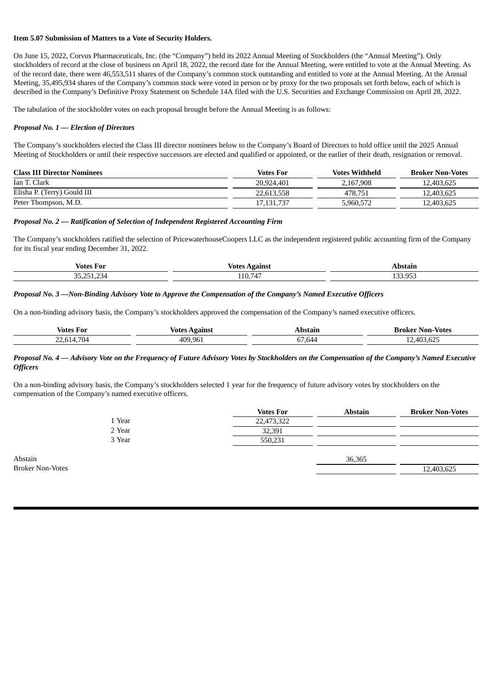#### **Item 5.07 Submission of Matters to a Vote of Security Holders.**

On June 15, 2022, Corvus Pharmaceuticals, Inc. (the "Company") held its 2022 Annual Meeting of Stockholders (the "Annual Meeting"). Only stockholders of record at the close of business on April 18, 2022, the record date for the Annual Meeting, were entitled to vote at the Annual Meeting. As of the record date, there were 46,553,511 shares of the Company's common stock outstanding and entitled to vote at the Annual Meeting. At the Annual Meeting, 35,495,934 shares of the Company's common stock were voted in person or by proxy for the two proposals set forth below, each of which is described in the Company's Definitive Proxy Statement on Schedule 14A filed with the U.S. Securities and Exchange Commission on April 28, 2022.

The tabulation of the stockholder votes on each proposal brought before the Annual Meeting is as follows:

#### *Proposal No. 1 — Election of Directors*

The Company's stockholders elected the Class III director nominees below to the Company's Board of Directors to hold office until the 2025 Annual Meeting of Stockholders or until their respective successors are elected and qualified or appointed, or the earlier of their death, resignation or removal.

| <b>Class III Director Nominees</b> | <b>Votes For</b> | <b>Votes Withheld</b> | <b>Broker Non-Votes</b> |
|------------------------------------|------------------|-----------------------|-------------------------|
| Ian T. Clark                       | 20,924,401       | 2.167.908             | 12.403.625              |
| Elisha P. (Terry) Gould III        | 22.613.558       | 478.751               | 12.403.625              |
| Peter Thompson, M.D.               | 17.131.737       | 5.960.572             | 12,403,625              |

#### *Proposal No. 2 — Ratification of Selection of Independent Registered Accounting Firm*

The Company's stockholders ratified the selection of PricewaterhouseCoopers LLC as the independent registered public accounting firm of the Company for its fiscal year ending December 31, 2022.

| Votes<br>For                | Votes<br>oinc                                  |                   |  |
|-----------------------------|------------------------------------------------|-------------------|--|
| $\sim$ $-$<br>$\sim$ $\sim$ | 747<br>$\sim$<br>/ ⊥<br>$\cdots$<br><b>. .</b> | $\sim -1$<br>$ -$ |  |

#### *Proposal No. 3 —Non-Binding Advisory Vote to Approve the Compensation of the Company's Named Executive Officers*

On a non-binding advisory basis, the Company's stockholders approved the compensation of the Company's named executive officers.

| Votes For                       | votes<br>Against | Abstain | <b>Non-Votes</b><br>Broker    |
|---------------------------------|------------------|---------|-------------------------------|
| 704<br>$\sim$ $\sim$<br>$- - -$ | 409.96           | h/l     | $-4036$ <sup>2</sup><br>J.DZ. |

#### Proposal No. 4 - Advisory Vote on the Frequency of Future Advisory Votes by Stockholders on the Compensation of the Company's Named Executive *Officers*

On a non-binding advisory basis, the Company's stockholders selected 1 year for the frequency of future advisory votes by stockholders on the compensation of the Company's named executive officers.

|         |        | <b>Votes For</b> | <b>Abstain</b> | <b>Broker Non-Votes</b> |
|---------|--------|------------------|----------------|-------------------------|
|         | 1 Year | 22,473,322       |                |                         |
|         | 2 Year | 32,391           |                |                         |
|         | 3 Year | 550,231          |                |                         |
|         |        |                  |                |                         |
| Abstain |        |                  | 36,365         |                         |

Broker Non-Votes 12,403,625